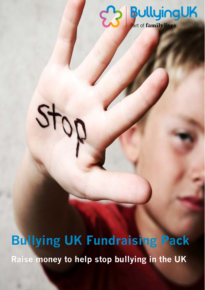## **ED BullyingUK**

**Bullying UK Fundraising Pack Raise money to help stop bullying in the UK**

 $\frac{1}{2}$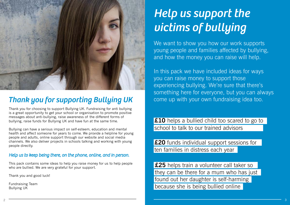Thank you for choosing to support Bullying UK. Fundraising for anti bullying is a great opportunity to get your school or organisation to promote positive messages about anti-bullying, raise awareness of the different forms of bullying, raise funds for Bullying UK and have fun at the same time.

Bullying can have a serious impact on self-esteem, education and mental health and affect someone for years to come. We provide a helpline for young people and adults, online support through our website and social media channels. We also deliver projects in schools talking and working with young people directly.

We want to show you how our work supports young people and families affected by bullying, and how the money you can raise will help.

#### *Help us to keep being there, on the phone, online, and in person.*

**£10** helps a bullied child too scared to go to school to talk to our trained advisors

This pack contains some ideas to help you raise money for us to help people who are bullied. We are very grateful for your support.

Thank you and good luck!

Fundraising Team Bullying UK



### *Thank you for supporting Bullying UK*

## *Help us support the victims of bullying*

In this pack we have included ideas for ways you can raise money to support those experiencing bullying. We're sure that there's something here for everyone, but you can always come up with your own fundraising idea too.

**£20** funds individual support sessions for ten families in distress each year

**£25** helps train a volunteer call taker so they can be there for a mum who has just found out her daughter is self-harming because she is being bullied online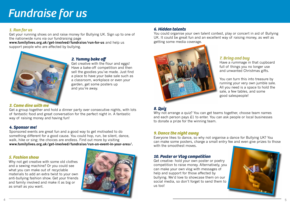

#### *2. Yummy bake off*

Get creative with the flour and eggs! Have a bake-off competition and then sell the goodies you've made. Just find a place to have your bake sale such as a classroom, workplace or even your garden, get some posters up and you're away.

#### *5. Fashion show*

Why not get creative with some old clothes and a sewing machine? Or you could see what you can make out of recyclable materials to add an extra twist to your own anti-bullying fashion show. Get your friends and family involved and make it as big or as small as you want.

**www.familylives.org.uk/get-involved/fundraise/run-for-us** and help us support people who are affected by bullying.



#### *6. Hidden talents*

You could organise your own talent contest, play or concert in aid of Bullying UK. It could be great fun and an excellent way of raising money, as well as getting some media coverage.



### **Fundraise for us**

#### *1. Run for us*

Get your running shoes on and raise money for Bullying UK. Sign up to one of the nationwide runs via our fundraising page

> Get creative- hold your own poster or poetry competition to raise money. Alternatively, you can make your own vlog with messages of help and support for those affected by bullying. We'd love to showcase them on our social media, so don't forget to send them to us too!

#### *7. Bring and buy*

Have a rummage in that cupboard full of things you no longer use and unwanted Christmas gifts.

You can turn this into treasure by running your very own jumble sale. All you need is a space to hold the sale, a few tables, and some good salespeople!



#### *8. Quiz*

Why not arrange a quiz? You can get teams together, choose team names and each person pays £1 to enter. You can ask people or local businesses to donate a prize for the winning team.

#### *9. Dance the night away*

Everyone likes to dance, so why not organise a dance for Bullying UK? You can make some posters, charge a small entry fee and even give prizes to those with the smoothest moves.

#### *10. Poster or Vlog competition*

#### *3. Come dine with me*

Get a group together and hold a dinner party over consecutive nights, with lots of fantastic food and great conversation for the perfect night in. A fantastic way of raising money and having fun!

#### *4. Sponsor me!*

Sponsored events are great fun and a good way to get motivated to do something different for a good cause. You could hop, run, be silent, dance, walk, hike or sing; the choices are endless. Find out more by visiting **www.familylives.org.uk/get-involved/fundraise/run-an-event-in-your-area/.**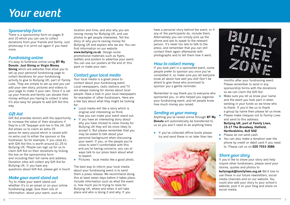have a personal story behind the event, or if any of the participants do, include them. Alternatively you can simply pick up the phone and ask to speak to the relevant person. It's never too late to talk to the press, and remember that you can still contact them again afterwards with photographs and to tell them how it went.

#### *How to collect money*

If you took part in a sponsored event, some people prefer to sponsor you once you've completed it, so make sure you let everyone know all about how well you did! Don't be afraid to give those who promised to sponsor you a gentle reminder.

 $\bullet$  If you've collected offline funds please try and send these in no later than two

Remember to say thank you to everyone who sponsored you, or who helped you organise your fundraising event, and let people know how much money you raised.

#### *Sending us your money*

- Make sure you let us know your name and the event you took part in when sending in your funds so we know who to thank. If you'd like us to thank a group by name then please let us know.
- Please make cheques out to Family Lives and send to this address: **Bullying UK, part of Family Lives, 15-17 The Broadway, Hatfield,**
- **Hertfordshire, AL9 5HZ**
- Please do not send cash.
- You can also make a donation over the phone by credit or debit card if you need to. Please call us on **020 7553 3086**.

Anything you've raised online through **BT My Donate** will automatically be transferred to us so you won't need to do anything there.

months after your fundraising event. Please remember to send in any sponsorship forms with the donations so we can claim the Gift Aid.

#### *Share your story*

Gift Aid provides donors with the opportunity to increase the value of their donations if they're a UK Taxpayer and live in the UK. Gift Aid allows us to claim an extra 25 pence for every pound which is raised with no extra cost to either the sponsor or the fundraiser. So for example, if you raise £1, with Gift Aid this is worth around £1.25 to Bullying UK. People can sign up for us to claim Gift Aid on their donations by ticking the box on the sponsorship form and including their full name and address. Donation sites will collect any Gift Aid for Bullying UK. If you have any questions about Gift Aid, please get in touch

If you'd like to share your story and help inspire other fundraisers, please send your stories, quotes and photos to

**bullyinguk@familylives.org.uk** We'd love to use these in our future newsletters, social media channels and on our website. You could also add your story to your school's website, post it on your blog and share on social media.

#### *Sponsorship form*

There is a sponsorship form on pages 9 and 10 which you can use to collect donations from your friends and family. Just photocopy it or print out again if you need more.

#### *Fundraising online*

It's easy to fundraise online using **BT My Donate**, **Just Giving or Virgin Money Giving** which are websites that allow you to set up your personal fundraising page to collect donations for your fundraising activity to give to Bullying UK, part of Family Lives. They are simple to set up and you can add your own story, pictures and videos to your page to make it your own. Once it is set up your friends and family can donate their money without you having to collect it later. It's also easy for people to add Gift Aid this way.

#### *Gift Aid*

#### *Make your event stand out*

Try to make your event stand out whether it's in an email or on your online fundraising page. Give them lots of information about your event, such as

location and time, and also why you are raising money for Bullying UK, and use photos to get people interested. Tell the story of why you're raising money for Bullying UK and explain who we are. You can find information on our website **www.bullying.co.uk**. Design some promotional materials such as flyers, leaflets and posters to advertise your event. You can use our posters at the end of this pack or make your own.

#### *Contact your local media*

Your local media is a great place to contact about your fundraising event. Local newspapers, radio stations and TV are always looking for stories about local people. Have a look in your local newspapers for examples of other fundraisers. Here are a few tips about what they might be looking for:

- $\bullet$  Local media will like a story which is original and interesting so think how you can make your event stand out.
- If you have an interesting story about why you have chosed to raise money for Bullying UK they will be more likely to accept it. But please remember that you may be asked to talk about your personal background when discussing your event. If you, or the people you're close to aren't comfortable with this and you're having concerns, you can always talk to our press team about what to expect.
- $\bullet$  Pictures local media like a good photo.

The best way to inform your local media about your fundraising event is to send them a press release. We recommend doing this at least seven days before it takes place. Include information such as what the event is, how much you're trying to raise for Bullying UK, where and when it will take place and who is doing it and why. If you

### *Your event*



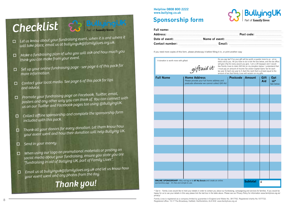| <b>Full Name</b> | <b>Home Address</b><br>Please provide your full home address and<br>postcode otherwise we cannot collect Gift Aid | Postcode   Amount |                                     | Gift<br>Aid | Opt<br>$in*$<br>See be |
|------------------|-------------------------------------------------------------------------------------------------------------------|-------------------|-------------------------------------|-------------|------------------------|
|                  |                                                                                                                   |                   |                                     |             |                        |
|                  |                                                                                                                   |                   |                                     |             |                        |
|                  |                                                                                                                   |                   |                                     |             |                        |
|                  |                                                                                                                   |                   |                                     |             |                        |
|                  |                                                                                                                   |                   |                                     |             |                        |
|                  |                                                                                                                   |                   |                                     |             |                        |
|                  |                                                                                                                   |                   |                                     |             |                        |
|                  |                                                                                                                   |                   |                                     |             |                        |
|                  |                                                                                                                   |                   |                                     |             |                        |
|                  |                                                                                                                   |                   |                                     |             |                        |
|                  |                                                                                                                   |                   |                                     |             |                        |
|                  | <b>ONLINE SPONSORSHIP:</b> Why not log on to BT My Donate and create an online                                    |                   | $C_{11}$ $L_{21}$ $L_{31}$ $L_{41}$ |             |                        |

### **Sponsorship form**

## Checklist S<sub>2</sub> BullyingUK

- o *Let us know about your fundraising event, when it is and where it will take place, email us at bullyinguk@familylives.org.uk.*
- o *Make a fundraising plan of who you will ask and how much you think you can make from your event.*
- o *Set up your online fundraising page - see page 6 of this pack for more information.*
- o *Contact your local media. See page 6 of this pack for tips and advice.*
- o *Promote your fundraising page on Facebook, Twitter, email, posters and any other way you can think of. You can connect with us on our Twitter and Facebook pages too using @BullyingUK.*
- o *Collect offline sponsorship and complete the sponsorship form included with this pack.*
- o *Thank all your donors for every donation. Let them know how your event went and how their donation will help Bullying UK.*
- o*Send in your money.*
- o *When using our logo on promotional materials or posting on social media about your fundraising, ensure you state you are "fundraising in aid of Bullying UK, part of Family Lives".*
- o *Email us at bullyinguk@familylives.org.uk and let us know how your event went and any photos from the day.*

**ONLINE SPONSORSHIP:** Why not log on to **BT My Donate** and create an online sponsorship page - it's free and simple to use.

### *Thank you!*



**Helpline 0808 800 2222 www.bullying.co.uk**

| s and<br><b>Gift Aid</b> | Postcode   Amount |                 | Gift<br>Aid | Opt<br>in*<br>See below |
|--------------------------|-------------------|-----------------|-------------|-------------------------|
|                          |                   |                 |             |                         |
|                          |                   |                 |             |                         |
|                          |                   |                 |             |                         |
|                          |                   |                 |             |                         |
|                          |                   |                 |             |                         |
|                          |                   |                 |             |                         |
|                          |                   |                 |             |                         |
|                          |                   |                 |             |                         |
|                          |                   |                 |             |                         |
|                          |                   |                 |             |                         |
|                          |                   |                 |             |                         |
| hline                    |                   | <b>Subtotal</b> | £           |                         |

\* Opt in - Family Lives would like to hold your details in order to contact you about our fundraising, campaigning and services for families. If you would be happy for us to use your details in this way please tick the last box in the table above. Please see our Privacy Policy for information www.familylives.org.uk/ privacy/

If you need more copies of this form, please photocopy it before filling it in, or print another copy

Do you pay tax? If so your gift will be worth a quarter more to us - at no extra cost to you. All you have to do is tick the box below, and the tax office will give 25p for every pound you give. I am a UK taxpayer and I would like Family Lives to claim Gift Aid on my donation below. I understand that I must pay an amount of Income Tax and/or Capital Gains Tax for each tax year (6 April one year to 5 April the next) that is at least equal to the amount of tax that Family Lives will reclaim on my gifts.

A donation is worth more with giftaid

giftaid it

Family Lives is registered as a company limited by guarantee in England and Wales No. 3817762. Registered charity No.1077722. Registered office: 15-17 The Broadway, Hatfield, Hertfordshire, AL9 5HZ. www.familylives.org.uk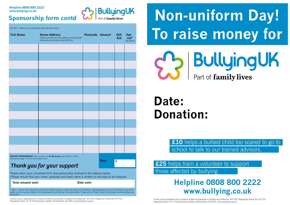| <b>Full Name</b>                                                                                                                  | <b>Home Address</b><br>Please provide your full address and postcode<br>otherwise we cannot collect Gift Aid | <b>Postcode Amount</b> |              | Gift<br>Aid | Opt<br>out*<br>See below |
|-----------------------------------------------------------------------------------------------------------------------------------|--------------------------------------------------------------------------------------------------------------|------------------------|--------------|-------------|--------------------------|
|                                                                                                                                   |                                                                                                              |                        |              |             |                          |
|                                                                                                                                   |                                                                                                              |                        |              |             |                          |
|                                                                                                                                   |                                                                                                              |                        |              |             |                          |
|                                                                                                                                   |                                                                                                              |                        |              |             |                          |
|                                                                                                                                   |                                                                                                              |                        |              |             |                          |
|                                                                                                                                   |                                                                                                              |                        |              |             |                          |
|                                                                                                                                   |                                                                                                              |                        |              |             |                          |
|                                                                                                                                   |                                                                                                              |                        |              |             |                          |
|                                                                                                                                   |                                                                                                              |                        |              |             |                          |
|                                                                                                                                   |                                                                                                              |                        |              |             |                          |
|                                                                                                                                   |                                                                                                              |                        |              |             |                          |
|                                                                                                                                   |                                                                                                              |                        |              |             |                          |
|                                                                                                                                   |                                                                                                              |                        |              |             |                          |
| <b>ONLINE SPONSORSHIP:</b> Why not log on to BT My Donate and create an online<br>sponsorship page - it's free and simple to use. |                                                                                                              |                        | <b>Total</b> | £           |                          |
| Thank you for your support                                                                                                        |                                                                                                              |                        |              |             |                          |

Gift Aid It - Please see our statement about Gift Aid overleaf

Please return your completed form and sponsorship received to the address below. (Please ensure that your name, postcode and event name is written on the back of all cheques)

Total amount sent: **Date sent: Date sent: Date sent:** 

\* Opt in - Family Lives would like to hold your details in order to contact you about our fundraising, campaigning and services for families. If you would prefer us not to use your details in this way please tick the last box in the table above. Please see our Privacy Policy for information www.familylives.org. uk/privacy/

£25 helps train a volunteer to support those affected by bullying.

Family Lives is registered as a company limited by guarantee in England and Wales No. 3817762. Registered charity No.1077722. Registered office: 15-17 The Broadway, Hatfield, Hertfordshire, AL9 5HZ. www.familylives.org.uk

## **Sponsorship form contd & Rullying UK Non-uniform Day! To raise money for BullyingUK** Part of family lives

### **Sponsorship form contd**

### **Helpline 0808 800 2222**

## **Date: Donation:**

### **Helpline 0808 800 2222 www.bullying.co.uk**

## **£10** helps a bullied child too scared to go to



school to talk to our trained advisors.

Family Lives is registered as a company limited by guarantee in England and Wales No. 3817762. Registered charity No.1077722. Registered office: 15-17 The Broadway, Hatfield, Hertfordshire, AL9 5HZ. www.familylives.org.uk